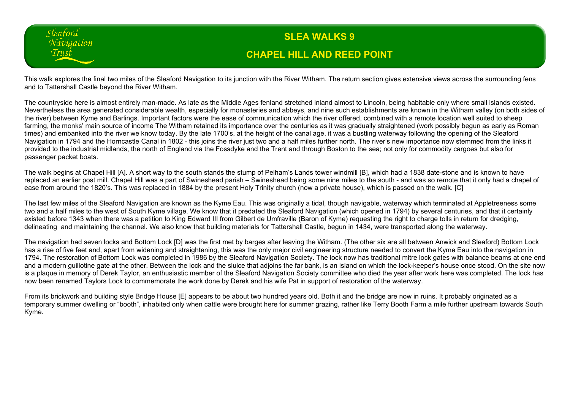## **SLEA WALKS 9 CHAPEL HILL AND REED POINT**

This walk explores the final two miles of the Sleaford Navigation to its junction with the River Witham. The return section gives extensive views across the surrounding fens and to Tattershall Castle beyond the River Witham.

Sleatord Navigation

The countryside here is almost entirely man-made. As late as the Middle Ages fenland stretched inland almost to Lincoln, being habitable only where small islands existed. Nevertheless the area generated considerable wealth, especially for monasteries and abbeys, and nine such establishments are known in the Witham valley (on both sides of the river) between Kyme and Barlings. Important factors were the ease of communication which the river offered, combined with a remote location well suited to sheep farming, the monks' main source of income The Witham retained its importance over the centuries as it was gradually straightened (work possibly begun as early as Roman times) and embanked into the river we know today. By the late 1700's, at the height of the canal age, it was a bustling waterway following the opening of the Sleaford Navigation in 1794 and the Horncastle Canal in 1802 - this joins the river just two and a half miles further north. The river's new importance now stemmed from the links it provided to the industrial midlands, the north of England via the Fossdyke and the Trent and through Boston to the sea; not only for commodity cargoes but also for passenger packet boats.

The walk begins at Chapel Hill [A]. A short way to the south stands the stump of Pelham's Lands tower windmill [B], which had a 1838 date-stone and is known to have replaced an earlier post mill. Chapel Hill was a part of Swineshead parish – Swineshead being some nine miles to the south - and was so remote that it only had a chapel of ease from around the 1820's. This was replaced in 1884 by the present Holy Trinity church (now a private house), which is passed on the walk. [C]

The last few miles of the Sleaford Navigation are known as the Kyme Eau. This was originally a tidal, though navigable, waterway which terminated at Appletreeness some two and a half miles to the west of South Kyme village. We know that it predated the Sleaford Navigation (which opened in 1794) by several centuries, and that it certainly existed before 1343 when there was a petition to King Edward III from Gilbert de Umfraville (Baron of Kyme) requesting the right to charge tolls in return for dredging, delineating and maintaining the channel. We also know that building materials for Tattershall Castle, begun in 1434, were transported along the waterway.

The navigation had seven locks and Bottom Lock [D] was the first met by barges after leaving the Witham. (The other six are all between Anwick and Sleaford) Bottom Lock has a rise of five feet and, apart from widening and straightening, this was the only major civil engineering structure needed to convert the Kyme Eau into the navigation in 1794. The restoration of Bottom Lock was completed in 1986 by the Sleaford Navigation Society. The lock now has traditional mitre lock gates with balance beams at one end and a modern guillotine gate at the other. Between the lock and the sluice that adjoins the far bank, is an island on which the lock-keeper's house once stood. On the site now is a plaque in memory of Derek Taylor, an enthusiastic member of the Sleaford Navigation Society committee who died the year after work here was completed. The lock has now been renamed Taylors Lock to commemorate the work done by Derek and his wife Pat in support of restoration of the waterway.

From its brickwork and building style Bridge House [E] appears to be about two hundred years old. Both it and the bridge are now in ruins. It probably originated as a temporary summer dwelling or "booth", inhabited only when cattle were brought here for summer grazing, rather like Terry Booth Farm a mile further upstream towards South Kyme.